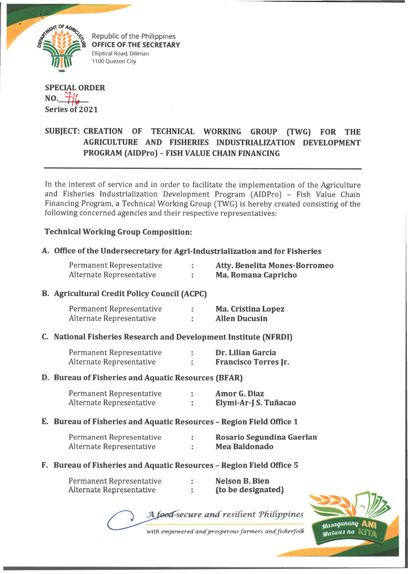

Republic of the Philippines OFFICE OF THE SECRETARY Elliptical Road, Diliman 1100 Quezon City

## **SPECIAL ORDER NO.**  $\pm$ 16 **Series of 2021**

# **SUBJECT: CREATION OF TECHNICAL WORKING GROUP (TWG) FOR THE AGRICULTURE AND FISHERIES INDUSTRIALIZATION DEVELOPMENT PROGRAM (AIDPro) - FISH VALUE CHAIN FINANCING**

In the interest of service and in order to facilitate the implementation of the Agriculture and Fisheries Industrialization Development Program (AIDPro] - Fish Value Chain Financing Program, a Technical Working Group (TWG) is hereby created consisting of the following concerned agencies and their respective representatives:

## **Technical Working Group Composition:**

## **A. Office of the Undersecretary for Agri-Industrialization and for Fisheries**

| Permanent Representative | <b>Atty. Benelita Mones-Borromed</b> |
|--------------------------|--------------------------------------|
| Alternate Representative | Ma. Romana Capricho                  |

#### **B. Agricultural Credit Policy Council (ACPC)**

| Permanent Representative | Ma. Cristina Lopez   |
|--------------------------|----------------------|
| Alternate Representative | <b>Allen Ducusin</b> |

#### **C. National Fisheries Research and Development Institute (NFRDI)**

| Permanent Representative | Dr. Lilian Garcia           |
|--------------------------|-----------------------------|
| Alternate Representative | <b>Francisco Torres Jr.</b> |

#### **D. Bureau of Fisheries and Aquatic Resources (BFAR)**

| Permanent Representative | Amor G. Diaz          |
|--------------------------|-----------------------|
| Alternate Representative | Elymi-Ar-J S. Tuñacao |

**E. Bureau of Fisheries and Aquatic Resources - Region Field Office 1**

| Permanent Representative | Rosario Segundina Gaerlan |
|--------------------------|---------------------------|
| Alternate Representative | Mea Baldonado             |

**F. Bureau of Fisheries and Aquatic Resources - Region Field Office 5**

| Permanent Representative | Nelson B. Bien     |
|--------------------------|--------------------|
| Alternate Representative | (to be designated) |

A food-secure and resilient Philippines



with empowered and prosperous farmers and fisherfolk